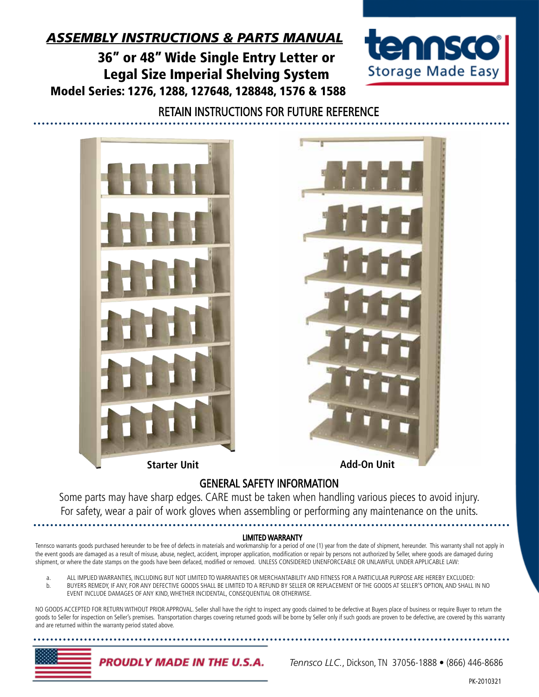## *ASSEMBLY INSTRUCTIONS & PARTS MANUAL*

36" or 48" Wide Single Entry Letter or Legal Size Imperial Shelving System Model Series: 1276, 1288, 127648, 128848, 1576 & 1588



### RETAIN INSTRUCTIONS FOR FUTURE REFERENCE





**Starter Unit Add-On Unit**

## GENERAL SAFETY INFORMATION

Some parts may have sharp edges. CARE must be taken when handling various pieces to avoid injury. For safety, wear a pair of work gloves when assembling or performing any maintenance on the units.

#### LIMITED WARRANTY

Tennsco warrants goods purchased hereunder to be free of defects in materials and workmanship for a period of one (1) year from the date of shipment, hereunder. This warranty shall not apply in the event goods are damaged as a result of misuse, abuse, neglect, accident, improper application, modification or repair by persons not authorized by Seller, where goods are damaged during shipment, or where the date stamps on the goods have been defaced, modified or removed. UNLESS CONSIDERED UNENFORCEABLE OR UNLAWFUL UNDER APPLICABLE LAW:

- a. ALL IMPLIED WARRANTIES, INCLUDING BUT NOT LIMITED TO WARRANTIES OR MERCHANTABILITY AND FITNESS FOR A PARTICULAR PURPOSE ARE HEREBY EXCLUDED: b. BUYERS REMEDY, IF ANY, FOR ANY DEFECTIVE GOODS SHALL BE LIMITED TO A REFUND BY SELLER OR REPLACEMENT OF THE GOODS AT SELLER'S OPTION, AND SHALL IN NO
- EVENT INCLUDE DAMAGES OF ANY KIND, WHETHER INCIDENTAL, CONSEQUENTIAL OR OTHERWISE.

NO GOODS ACCEPTED FOR RETURN WITHOUT PRIOR APPROVAL. Seller shall have the right to inspect any goods claimed to be defective at Buyers place of business or require Buyer to return the goods to Seller for inspection on Seller's premises. Transportation charges covering returned goods will be borne by Seller only if such goods are proven to be defective, are covered by this warranty and are returned within the warranty period stated above.



*Tennsco LLC.*, Dickson, TN 37056-1888 • (866) 446-8686

PK-2010321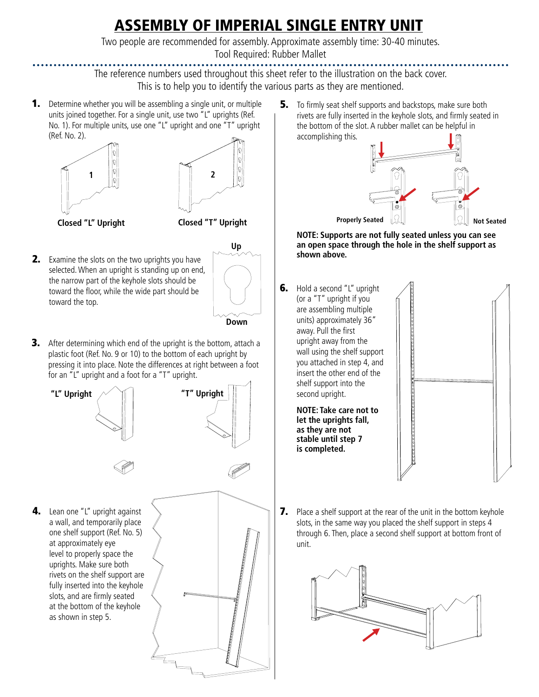# ASSEMBLY OF IMPERIAL SINGLE ENTRY UNIT

Two people are recommended for assembly. Approximate assembly time: 30-40 minutes. Tool Required: Rubber Mallet

The reference numbers used throughout this sheet refer to the illustration on the back cover.

This is to help you to identify the various parts as they are mentioned.

**1.** Determine whether you will be assembling a single unit, or multiple units joined together. For a single unit, use two "L" uprights (Ref. No. 1). For multiple units, use one "L" upright and one "T" upright (Ref. No. 2).





**Closed "L" Upright Closed "T" Upright**

**2.** Examine the slots on the two uprights you have selected. When an upright is standing up on end, the narrow part of the keyhole slots should be toward the floor, while the wide part should be toward the top.



**Down**

**3.** After determining which end of the upright is the bottom, attach a plastic foot (Ref. No. 9 or 10) to the bottom of each upright by pressing it into place. Note the differences at right between a foot for an "L" upright and a foot for a "T" upright.





**4.** Lean one "L" upright against a wall, and temporarily place one shelf support (Ref. No. 5) at approximately eye level to properly space the uprights. Make sure both rivets on the shelf support are fully inserted into the keyhole slots, and are firmly seated at the bottom of the keyhole as shown in step 5.



**5.** To firmly seat shelf supports and backstops, make sure both rivets are fully inserted in the keyhole slots, and firmly seated in the bottom of the slot. A rubber mallet can be helpful in accomplishing this.



**NOTE: Supports are not fully seated unless you can see an open space through the hole in the shelf support as shown above.**

**6.** Hold a second "L" upright (or a "T" upright if you are assembling multiple units) approximately 36" away. Pull the first upright away from the wall using the shelf support you attached in step 4, and insert the other end of the shelf support into the second upright.

> **NOTE: Take care not to let the uprights fall, as they are not stable until step 7 is completed.**



**7.** Place a shelf support at the rear of the unit in the bottom keyhole slots, in the same way you placed the shelf support in steps 4 through 6. Then, place a second shelf support at bottom front of unit.

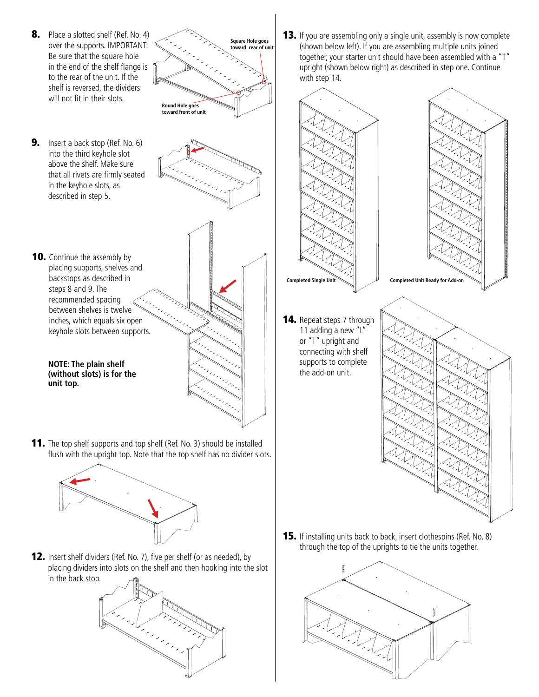**8.** Place a slotted shelf (Ref. No. 4) over the supports. IMPORTANT: Be sure that the square hole in the end of the shelf flange is to the rear of the unit. If the shelf is reversed, the dividers will not fit in their slots.



9. Insert a back stop (Ref. No. 6) into the third keyhole slot above the shelf. Make sure that all rivets are firmly seated in the keyhole slots, as described in step 5.

**unit top.**

steps 8 and 9. The





12. Insert shelf dividers (Ref. No. 7), five per shelf (or as needed), by placing dividers into slots on the shelf and then hooking into the slot in the back stop.



**13.** If you are assembling only a single unit, assembly is now complete (shown below left). If you are assembling multiple units joined together, your starter unit should have been assembled with a "T" upright (shown below right) as described in step one. Continue with step 14.



**15.** If installing units back to back, insert clothespins (Ref. No. 8) through the top of the uprights to tie the units together.